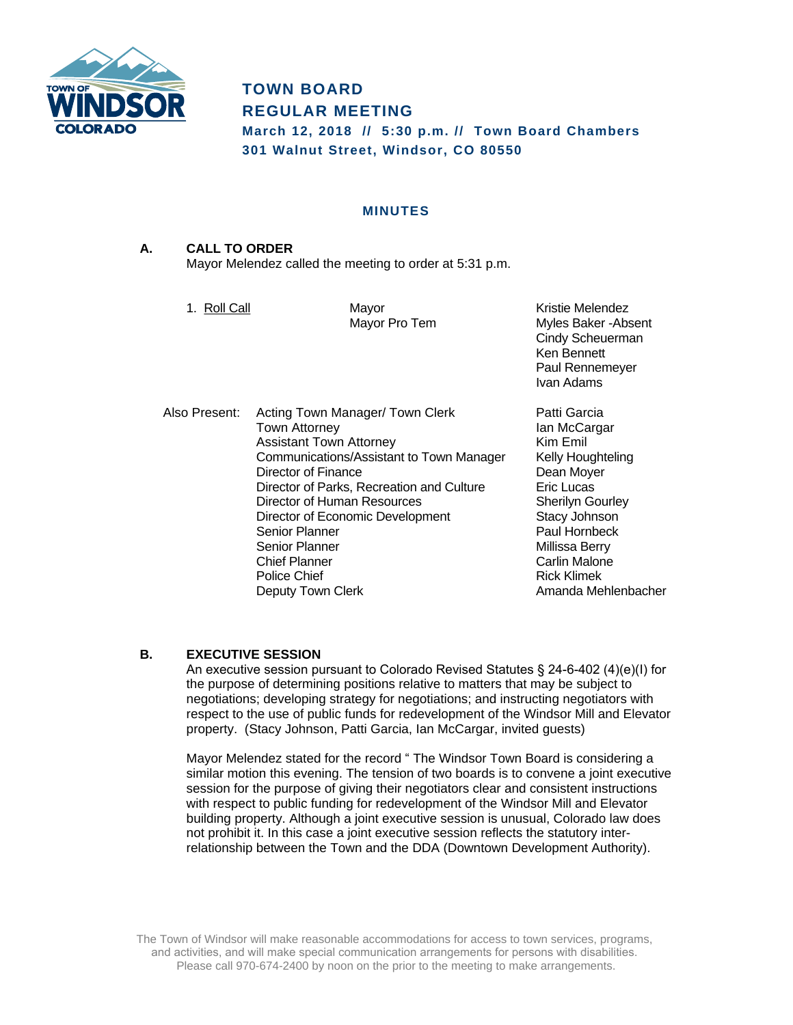

# **TOWN BOARD REGULAR MEETING**

**March 12, 2018 // 5:30 p.m. // Town Board Chambers 301 Walnut Street, Windsor, CO 80550**

#### **MINUTES**

# **A. CALL TO ORDER** Mayor Melendez called the meeting to order at 5:31 p.m.

1. Roll Call **Mayor** Mayor **Kristie Melendez** Mayor Pro Tem Myles Baker - Absent Cindy Scheuerman Ken Bennett Paul Rennemeyer Ivan Adams

Also Present: Acting Town Manager/ Town Clerk Patti Garcia Town Attorney **International Community** Ian McCargar Assistant Town Attorney **Kim Emil** Communications/Assistant to Town Manager Kelly Houghteling Director of Finance **Director of Finance Dean Moyer** Director of Parks, Recreation and Culture **Eric Lucas** Director of Human Resources Sherilyn Gourley Director of Economic Development Stacy Johnson Senior Planner **Paul Hornbeck** Senior Planner Millissa Berry Chief Planner (Carlin Malone Carlin Malone Chief Police Chief (Carlin Malone Chief Police Chief Police Chief P<br>Carlin Malone Chief (Carlin Malone Police Chief Police Chief Police Chief Police Police Police Police Police P Police Chief Deputy Town Clerk **Amanda Mehlenbacher** Amanda Mehlenbacher

# **B. EXECUTIVE SESSION**

An executive session pursuant to Colorado Revised Statutes § 24-6-402 (4)(e)(I) for the purpose of determining positions relative to matters that may be subject to negotiations; developing strategy for negotiations; and instructing negotiators with respect to the use of public funds for redevelopment of the Windsor Mill and Elevator property. (Stacy Johnson, Patti Garcia, Ian McCargar, invited guests)

Mayor Melendez stated for the record " The Windsor Town Board is considering a similar motion this evening. The tension of two boards is to convene a joint executive session for the purpose of giving their negotiators clear and consistent instructions with respect to public funding for redevelopment of the Windsor Mill and Elevator building property. Although a joint executive session is unusual, Colorado law does not prohibit it. In this case a joint executive session reflects the statutory interrelationship between the Town and the DDA (Downtown Development Authority).

The Town of Windsor will make reasonable accommodations for access to town services, programs, and activities, and will make special communication arrangements for persons with disabilities. Please call 970-674-2400 by noon on the prior to the meeting to make arrangements.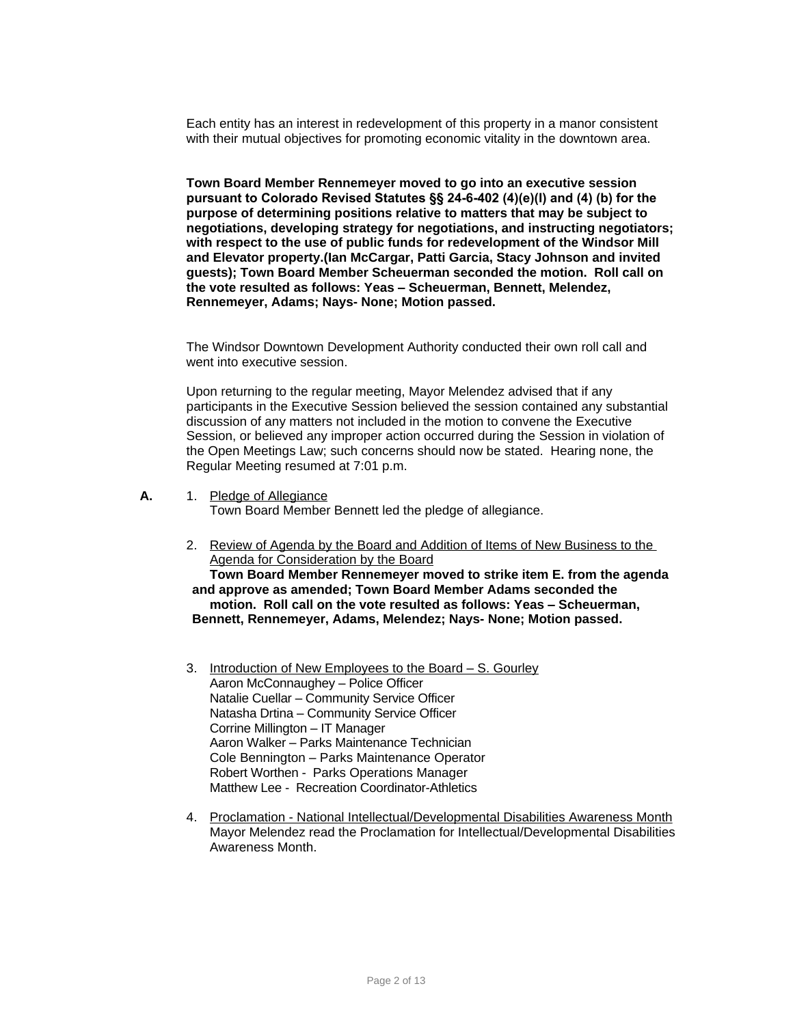Each entity has an interest in redevelopment of this property in a manor consistent with their mutual objectives for promoting economic vitality in the downtown area.

**Town Board Member Rennemeyer moved to go into an executive session pursuant to Colorado Revised Statutes §§ 24-6-402 (4)(e)(I) and (4) (b) for the purpose of determining positions relative to matters that may be subject to negotiations, developing strategy for negotiations, and instructing negotiators; with respect to the use of public funds for redevelopment of the Windsor Mill and Elevator property.(Ian McCargar, Patti Garcia, Stacy Johnson and invited guests); Town Board Member Scheuerman seconded the motion. Roll call on the vote resulted as follows: Yeas – Scheuerman, Bennett, Melendez, Rennemeyer, Adams; Nays- None; Motion passed.**

The Windsor Downtown Development Authority conducted their own roll call and went into executive session.

Upon returning to the regular meeting, Mayor Melendez advised that if any participants in the Executive Session believed the session contained any substantial discussion of any matters not included in the motion to convene the Executive Session, or believed any improper action occurred during the Session in violation of the Open Meetings Law; such concerns should now be stated. Hearing none, the Regular Meeting resumed at 7:01 p.m.

**A.** 1. Pledge of Allegiance

Town Board Member Bennett led the pledge of allegiance.

2. Review of Agenda by the Board and Addition of Items of New Business to the Agenda for Consideration by the Board

**Town Board Member Rennemeyer moved to strike item E. from the agenda and approve as amended; Town Board Member Adams seconded the motion. Roll call on the vote resulted as follows: Yeas – Scheuerman, Bennett, Rennemeyer, Adams, Melendez; Nays- None; Motion passed.**

- 3. Introduction of New Employees to the Board S. Gourley Aaron McConnaughey – Police Officer Natalie Cuellar – Community Service Officer Natasha Drtina – Community Service Officer Corrine Millington – IT Manager Aaron Walker – Parks Maintenance Technician Cole Bennington – Parks Maintenance Operator Robert Worthen - Parks Operations Manager Matthew Lee - Recreation Coordinator-Athletics
- 4. Proclamation National Intellectual/Developmental Disabilities Awareness Month Mayor Melendez read the Proclamation for Intellectual/Developmental Disabilities Awareness Month.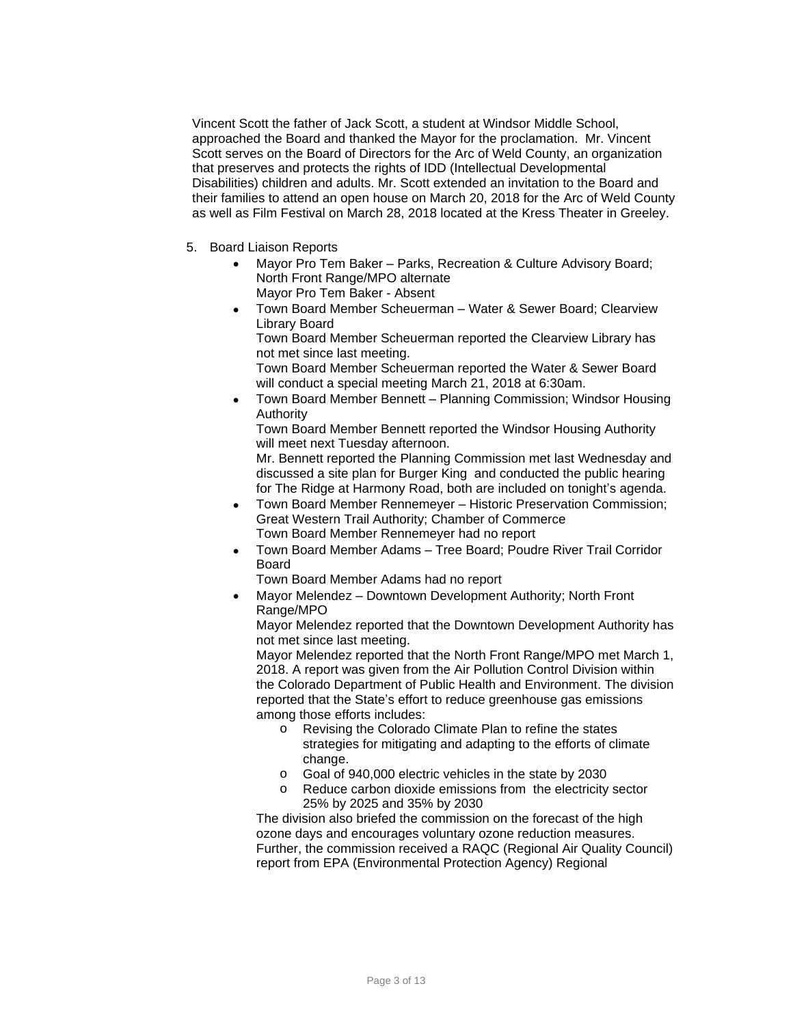Vincent Scott the father of Jack Scott, a student at Windsor Middle School, approached the Board and thanked the Mayor for the proclamation. Mr. Vincent Scott serves on the Board of Directors for the Arc of Weld County, an organization that preserves and protects the rights of IDD (Intellectual Developmental Disabilities) children and adults. Mr. Scott extended an invitation to the Board and their families to attend an open house on March 20, 2018 for the Arc of Weld County as well as Film Festival on March 28, 2018 located at the Kress Theater in Greeley.

- 5. Board Liaison Reports
	- Mayor Pro Tem Baker Parks, Recreation & Culture Advisory Board; North Front Range/MPO alternate Mayor Pro Tem Baker - Absent
	- Town Board Member Scheuerman Water & Sewer Board; Clearview Library Board

Town Board Member Scheuerman reported the Clearview Library has not met since last meeting.

Town Board Member Scheuerman reported the Water & Sewer Board will conduct a special meeting March 21, 2018 at 6:30am.

 Town Board Member Bennett – Planning Commission; Windsor Housing Authority

Town Board Member Bennett reported the Windsor Housing Authority will meet next Tuesday afternoon.

Mr. Bennett reported the Planning Commission met last Wednesday and discussed a site plan for Burger King and conducted the public hearing for The Ridge at Harmony Road, both are included on tonight's agenda.

- Town Board Member Rennemeyer Historic Preservation Commission; Great Western Trail Authority; Chamber of Commerce Town Board Member Rennemeyer had no report
- Town Board Member Adams Tree Board; Poudre River Trail Corridor Board

Town Board Member Adams had no report

 Mayor Melendez – Downtown Development Authority; North Front Range/MPO

Mayor Melendez reported that the Downtown Development Authority has not met since last meeting.

Mayor Melendez reported that the North Front Range/MPO met March 1, 2018. A report was given from the Air Pollution Control Division within the Colorado Department of Public Health and Environment. The division reported that the State's effort to reduce greenhouse gas emissions among those efforts includes:

- o Revising the Colorado Climate Plan to refine the states strategies for mitigating and adapting to the efforts of climate change.
- o Goal of 940,000 electric vehicles in the state by 2030
- o Reduce carbon dioxide emissions from the electricity sector 25% by 2025 and 35% by 2030

The division also briefed the commission on the forecast of the high ozone days and encourages voluntary ozone reduction measures. Further, the commission received a RAQC (Regional Air Quality Council) report from EPA (Environmental Protection Agency) Regional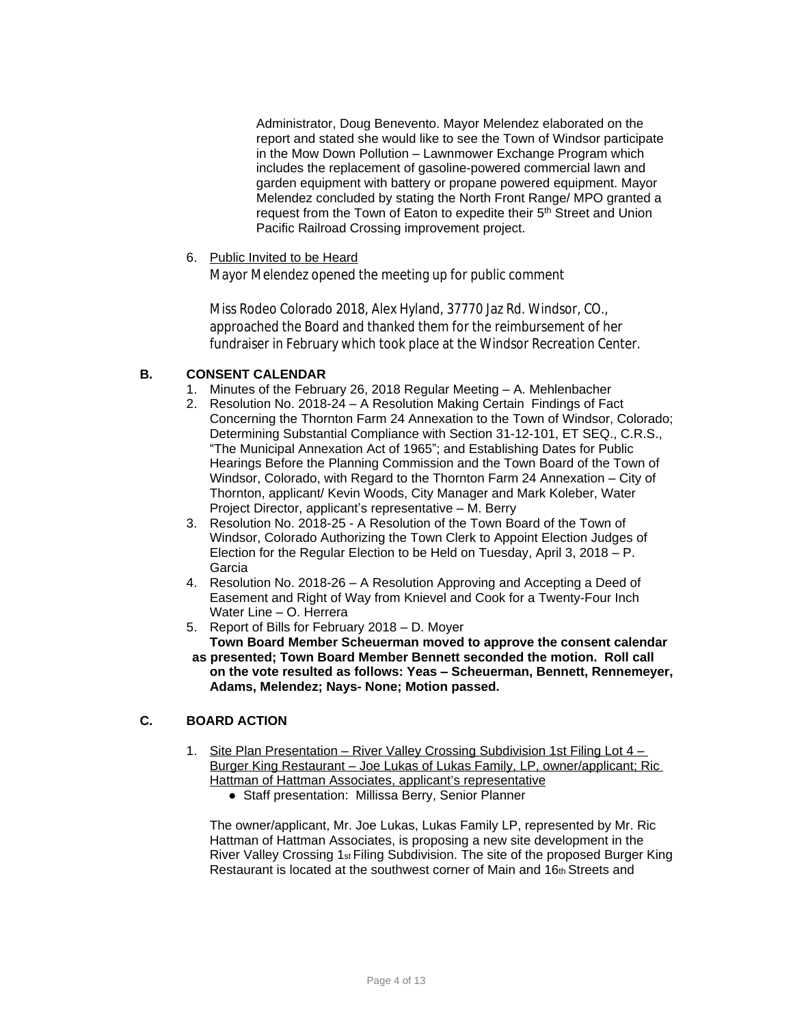Administrator, Doug Benevento. Mayor Melendez elaborated on the report and stated she would like to see the Town of Windsor participate in the Mow Down Pollution – Lawnmower Exchange Program which includes the replacement of gasoline-powered commercial lawn and garden equipment with battery or propane powered equipment. Mayor Melendez concluded by stating the North Front Range/ MPO granted a request from the Town of Eaton to expedite their 5<sup>th</sup> Street and Union Pacific Railroad Crossing improvement project.

#### 6. Public Invited to be Heard

Mayor Melendez opened the meeting up for public comment

Miss Rodeo Colorado 2018, Alex Hyland, 37770 Jaz Rd. Windsor, CO., approached the Board and thanked them for the reimbursement of her fundraiser in February which took place at the Windsor Recreation Center.

## **B. CONSENT CALENDAR**

- 1. Minutes of the February 26, 2018 Regular Meeting A. Mehlenbacher
- 2. Resolution No. 2018-24 A Resolution Making Certain Findings of Fact Concerning the Thornton Farm 24 Annexation to the Town of Windsor, Colorado; Determining Substantial Compliance with Section 31-12-101, ET SEQ., C.R.S., "The Municipal Annexation Act of 1965"; and Establishing Dates for Public Hearings Before the Planning Commission and the Town Board of the Town of Windsor, Colorado, with Regard to the Thornton Farm 24 Annexation – City of Thornton, applicant/ Kevin Woods, City Manager and Mark Koleber, Water Project Director, applicant's representative – M. Berry
- 3. Resolution No. 2018-25 A Resolution of the Town Board of the Town of Windsor, Colorado Authorizing the Town Clerk to Appoint Election Judges of Election for the Regular Election to be Held on Tuesday, April 3, 2018 – P. Garcia
- 4. Resolution No. 2018-26 A Resolution Approving and Accepting a Deed of Easement and Right of Way from Knievel and Cook for a Twenty-Four Inch Water Line – O. Herrera
- 5. Report of Bills for February 2018 D. Moyer **Town Board Member Scheuerman moved to approve the consent calendar**
- **as presented; Town Board Member Bennett seconded the motion. Roll call on the vote resulted as follows: Yeas – Scheuerman, Bennett, Rennemeyer, Adams, Melendez; Nays- None; Motion passed.**

## **C. BOARD ACTION**

- 1. Site Plan Presentation River Valley Crossing Subdivision 1st Filing Lot 4 -Burger King Restaurant - Joe Lukas of Lukas Family, LP, owner/applicant; Ric Hattman of Hattman Associates, applicant's representative
	- Staff presentation: Millissa Berry, Senior Planner

The owner/applicant, Mr. Joe Lukas, Lukas Family LP, represented by Mr. Ric Hattman of Hattman Associates, is proposing a new site development in the River Valley Crossing 1<sub>st</sub> Filing Subdivision. The site of the proposed Burger King Restaurant is located at the southwest corner of Main and 16th Streets and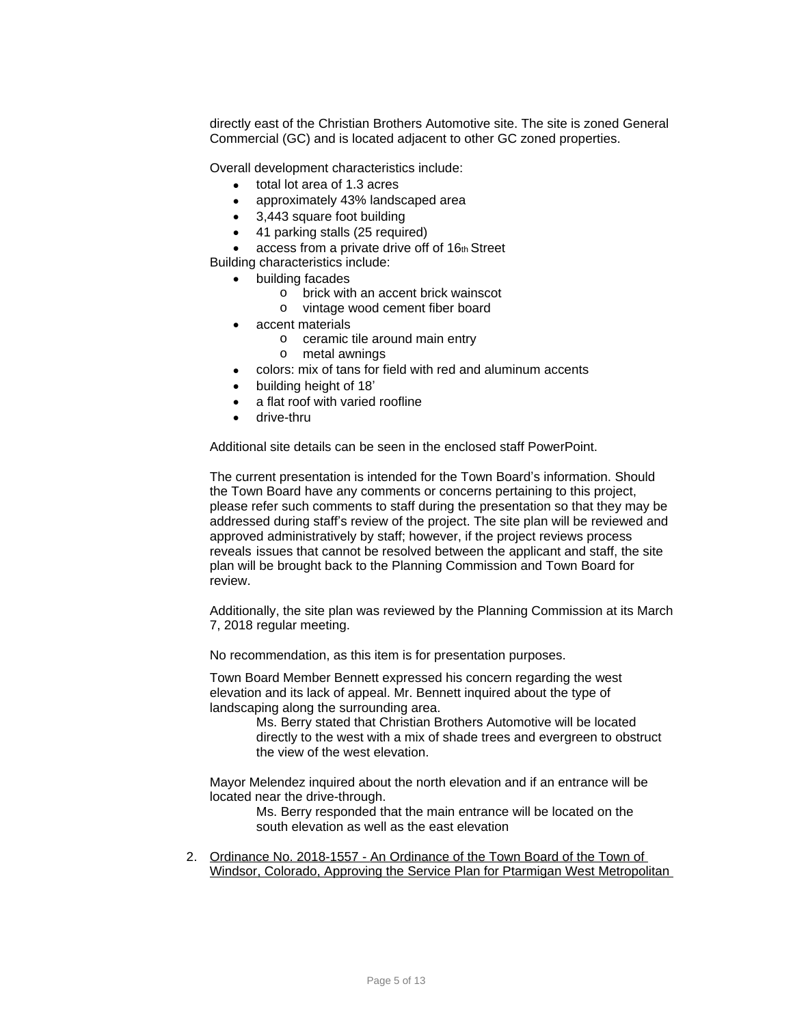directly east of the Christian Brothers Automotive site. The site is zoned General Commercial (GC) and is located adjacent to other GC zoned properties.

Overall development characteristics include:

- total lot area of 1.3 acres
- approximately 43% landscaped area
- 3,443 square foot building
- 41 parking stalls (25 required)
- $\bullet$  access from a private drive off of 16th Street

Building characteristics include:

- building facades
	- o brick with an accent brick wainscot
	- o vintage wood cement fiber board
- accent materials
	- o ceramic tile around main entry
	- o metal awnings
- colors: mix of tans for field with red and aluminum accents
- building height of 18'
- a flat roof with varied roofline
- drive-thru

Additional site details can be seen in the enclosed staff PowerPoint.

The current presentation is intended for the Town Board's information. Should the Town Board have any comments or concerns pertaining to this project, please refer such comments to staff during the presentation so that they may be addressed during staff's review of the project. The site plan will be reviewed and approved administratively by staff; however, if the project reviews process reveals issues that cannot be resolved between the applicant and staff, the site plan will be brought back to the Planning Commission and Town Board for review.

Additionally, the site plan was reviewed by the Planning Commission at its March 7, 2018 regular meeting.

No recommendation, as this item is for presentation purposes.

Town Board Member Bennett expressed his concern regarding the west elevation and its lack of appeal. Mr. Bennett inquired about the type of landscaping along the surrounding area.

> Ms. Berry stated that Christian Brothers Automotive will be located directly to the west with a mix of shade trees and evergreen to obstruct the view of the west elevation.

Mayor Melendez inquired about the north elevation and if an entrance will be located near the drive-through.

Ms. Berry responded that the main entrance will be located on the south elevation as well as the east elevation

2. Ordinance No. 2018-1557 - An Ordinance of the Town Board of the Town of Windsor, Colorado, Approving the Service Plan for Ptarmigan West Metropolitan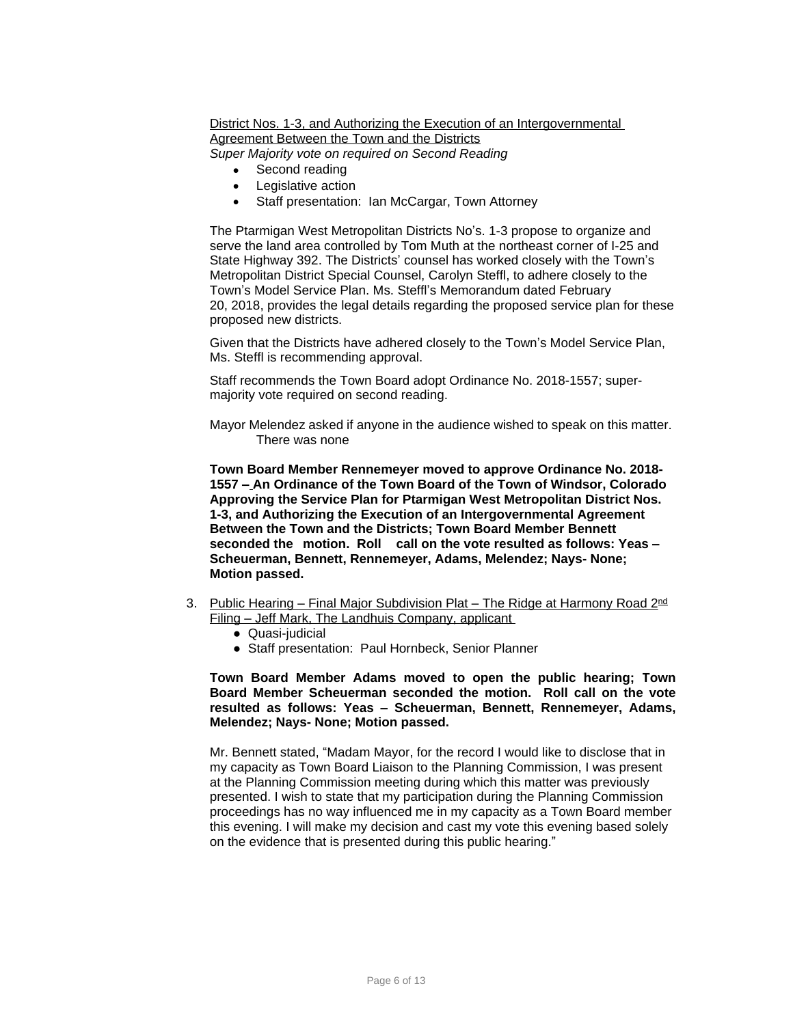District Nos. 1-3, and Authorizing the Execution of an Intergovernmental Agreement Between the Town and the Districts *Super Majority vote on required on Second Reading*

- Second reading
- Legislative action
- Staff presentation: Ian McCargar, Town Attorney

The Ptarmigan West Metropolitan Districts No's. 1-3 propose to organize and serve the land area controlled by Tom Muth at the northeast corner of I-25 and State Highway 392. The Districts' counsel has worked closely with the Town's Metropolitan District Special Counsel, Carolyn Steffl, to adhere closely to the Town's Model Service Plan. Ms. Steffl's Memorandum dated February 20, 2018, provides the legal details regarding the proposed service plan for these proposed new districts.

Given that the Districts have adhered closely to the Town's Model Service Plan, Ms. Steffl is recommending approval.

Staff recommends the Town Board adopt Ordinance No. 2018-1557; supermajority vote required on second reading.

Mayor Melendez asked if anyone in the audience wished to speak on this matter. There was none

**Town Board Member Rennemeyer moved to approve Ordinance No. 2018- 1557 – An Ordinance of the Town Board of the Town of Windsor, Colorado Approving the Service Plan for Ptarmigan West Metropolitan District Nos. 1-3, and Authorizing the Execution of an Intergovernmental Agreement Between the Town and the Districts; Town Board Member Bennett seconded the motion. Roll call on the vote resulted as follows: Yeas – Scheuerman, Bennett, Rennemeyer, Adams, Melendez; Nays- None; Motion passed.**

- 3. Public Hearing Final Major Subdivision Plat The Ridge at Harmony Road 2<sup>nd</sup> Filing – Jeff Mark, The Landhuis Company, applicant
	- Quasi-judicial
	- Staff presentation: Paul Hornbeck, Senior Planner

**Town Board Member Adams moved to open the public hearing; Town Board Member Scheuerman seconded the motion. Roll call on the vote resulted as follows: Yeas – Scheuerman, Bennett, Rennemeyer, Adams, Melendez; Nays- None; Motion passed.**

Mr. Bennett stated, "Madam Mayor, for the record I would like to disclose that in my capacity as Town Board Liaison to the Planning Commission, I was present at the Planning Commission meeting during which this matter was previously presented. I wish to state that my participation during the Planning Commission proceedings has no way influenced me in my capacity as a Town Board member this evening. I will make my decision and cast my vote this evening based solely on the evidence that is presented during this public hearing."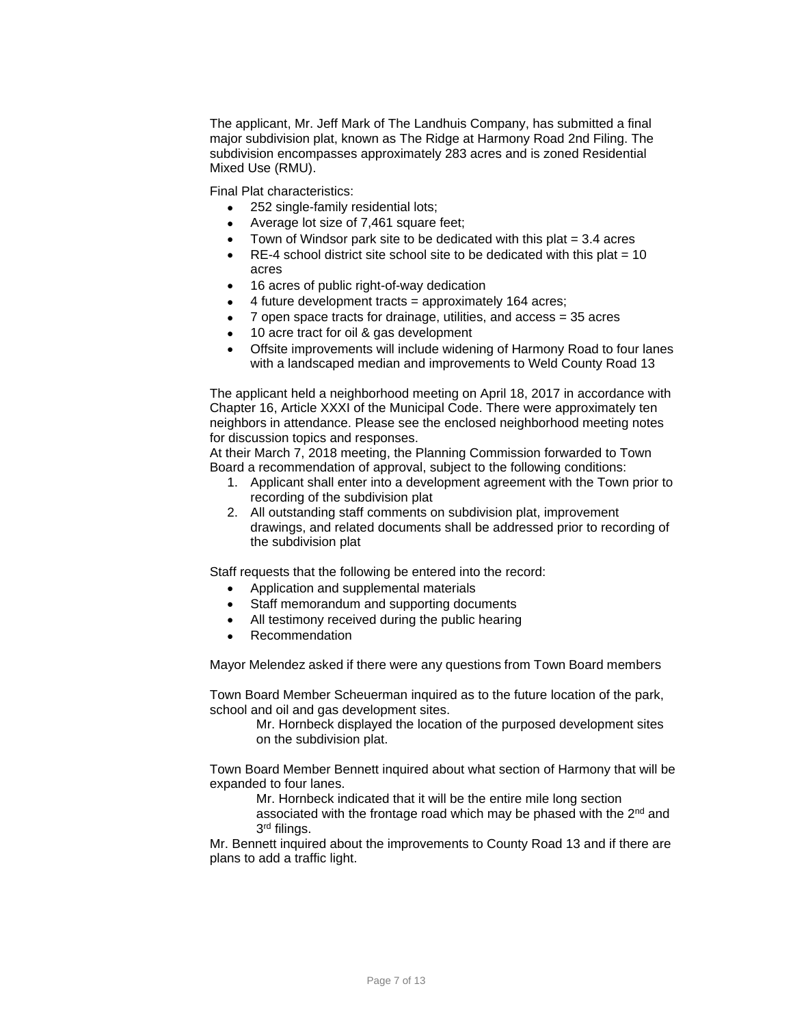The applicant, Mr. Jeff Mark of The Landhuis Company, has submitted a final major subdivision plat, known as The Ridge at Harmony Road 2nd Filing. The subdivision encompasses approximately 283 acres and is zoned Residential Mixed Use (RMU).

Final Plat characteristics:

- 252 single-family residential lots;
- Average lot size of 7,461 square feet;
- Town of Windsor park site to be dedicated with this plat  $= 3.4$  acres
- $\bullet$  RE-4 school district site school site to be dedicated with this plat = 10 acres
- 16 acres of public right-of-way dedication
- $\bullet$  4 future development tracts = approximately 164 acres;
- 7 open space tracts for drainage, utilities, and access = 35 acres
- 10 acre tract for oil & gas development
- Offsite improvements will include widening of Harmony Road to four lanes with a landscaped median and improvements to Weld County Road 13

The applicant held a neighborhood meeting on April 18, 2017 in accordance with Chapter 16, Article XXXI of the Municipal Code. There were approximately ten neighbors in attendance. Please see the enclosed neighborhood meeting notes for discussion topics and responses.

At their March 7, 2018 meeting, the Planning Commission forwarded to Town Board a recommendation of approval, subject to the following conditions:

- 1. Applicant shall enter into a development agreement with the Town prior to recording of the subdivision plat
- 2. All outstanding staff comments on subdivision plat, improvement drawings, and related documents shall be addressed prior to recording of the subdivision plat

Staff requests that the following be entered into the record:

- Application and supplemental materials
- Staff memorandum and supporting documents
- All testimony received during the public hearing
- Recommendation

Mayor Melendez asked if there were any questions from Town Board members

Town Board Member Scheuerman inquired as to the future location of the park, school and oil and gas development sites.

Mr. Hornbeck displayed the location of the purposed development sites on the subdivision plat.

Town Board Member Bennett inquired about what section of Harmony that will be expanded to four lanes.

Mr. Hornbeck indicated that it will be the entire mile long section

associated with the frontage road which may be phased with the  $2<sup>nd</sup>$  and 3 rd filings.

Mr. Bennett inquired about the improvements to County Road 13 and if there are plans to add a traffic light.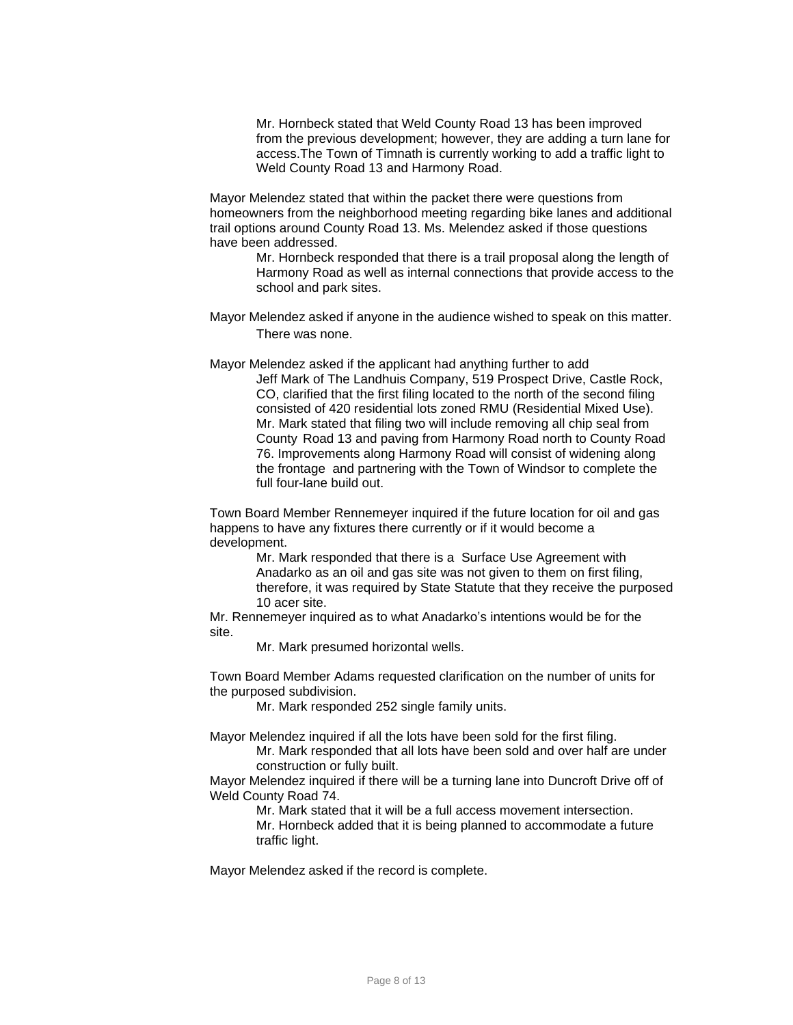Mr. Hornbeck stated that Weld County Road 13 has been improved from the previous development; however, they are adding a turn lane for access.The Town of Timnath is currently working to add a traffic light to Weld County Road 13 and Harmony Road.

Mayor Melendez stated that within the packet there were questions from homeowners from the neighborhood meeting regarding bike lanes and additional trail options around County Road 13. Ms. Melendez asked if those questions have been addressed.

Mr. Hornbeck responded that there is a trail proposal along the length of Harmony Road as well as internal connections that provide access to the school and park sites.

Mayor Melendez asked if anyone in the audience wished to speak on this matter. There was none.

Mayor Melendez asked if the applicant had anything further to add

Jeff Mark of The Landhuis Company, 519 Prospect Drive, Castle Rock, CO, clarified that the first filing located to the north of the second filing consisted of 420 residential lots zoned RMU (Residential Mixed Use). Mr. Mark stated that filing two will include removing all chip seal from County Road 13 and paving from Harmony Road north to County Road 76. Improvements along Harmony Road will consist of widening along the frontage and partnering with the Town of Windsor to complete the full four-lane build out.

Town Board Member Rennemeyer inquired if the future location for oil and gas happens to have any fixtures there currently or if it would become a development.

> Mr. Mark responded that there is a Surface Use Agreement with Anadarko as an oil and gas site was not given to them on first filing, therefore, it was required by State Statute that they receive the purposed 10 acer site.

Mr. Rennemeyer inquired as to what Anadarko's intentions would be for the site.

Mr. Mark presumed horizontal wells.

Town Board Member Adams requested clarification on the number of units for the purposed subdivision.

Mr. Mark responded 252 single family units.

Mayor Melendez inquired if all the lots have been sold for the first filing.

Mr. Mark responded that all lots have been sold and over half are under construction or fully built.

Mayor Melendez inquired if there will be a turning lane into Duncroft Drive off of Weld County Road 74.

> Mr. Mark stated that it will be a full access movement intersection. Mr. Hornbeck added that it is being planned to accommodate a future traffic light.

Mayor Melendez asked if the record is complete.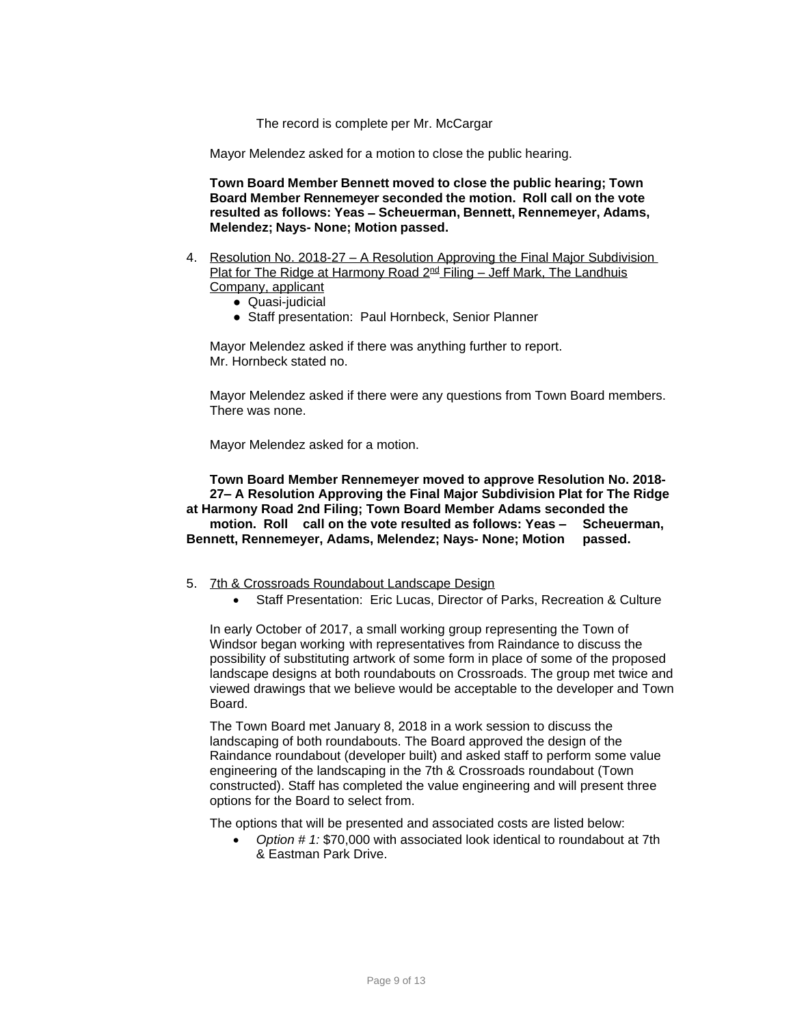The record is complete per Mr. McCargar

Mayor Melendez asked for a motion to close the public hearing.

**Town Board Member Bennett moved to close the public hearing; Town Board Member Rennemeyer seconded the motion. Roll call on the vote resulted as follows: Yeas – Scheuerman, Bennett, Rennemeyer, Adams, Melendez; Nays- None; Motion passed.**

- 4. Resolution No. 2018-27 A Resolution Approving the Final Major Subdivision Plat for The Ridge at Harmony Road  $2^{nd}$  Filing – Jeff Mark, The Landhuis Company, applicant
	- Quasi-judicial
	- Staff presentation: Paul Hornbeck, Senior Planner

Mayor Melendez asked if there was anything further to report. Mr. Hornbeck stated no.

Mayor Melendez asked if there were any questions from Town Board members. There was none.

Mayor Melendez asked for a motion.

**Town Board Member Rennemeyer moved to approve Resolution No. 2018- 27– A Resolution Approving the Final Major Subdivision Plat for The Ridge at Harmony Road 2nd Filing; Town Board Member Adams seconded the motion. Roll call on the vote resulted as follows: Yeas – Scheuerman, Bennett, Rennemeyer, Adams, Melendez; Nays- None; Motion passed.**

- 5. 7th & Crossroads Roundabout Landscape Design
	- Staff Presentation: Eric Lucas, Director of Parks, Recreation & Culture

In early October of 2017, a small working group representing the Town of Windsor began working with representatives from Raindance to discuss the possibility of substituting artwork of some form in place of some of the proposed landscape designs at both roundabouts on Crossroads. The group met twice and viewed drawings that we believe would be acceptable to the developer and Town Board.

The Town Board met January 8, 2018 in a work session to discuss the landscaping of both roundabouts. The Board approved the design of the Raindance roundabout (developer built) and asked staff to perform some value engineering of the landscaping in the 7th & Crossroads roundabout (Town constructed). Staff has completed the value engineering and will present three options for the Board to select from.

The options that will be presented and associated costs are listed below:

 *Option # 1:* \$70,000 with associated look identical to roundabout at 7th & Eastman Park Drive.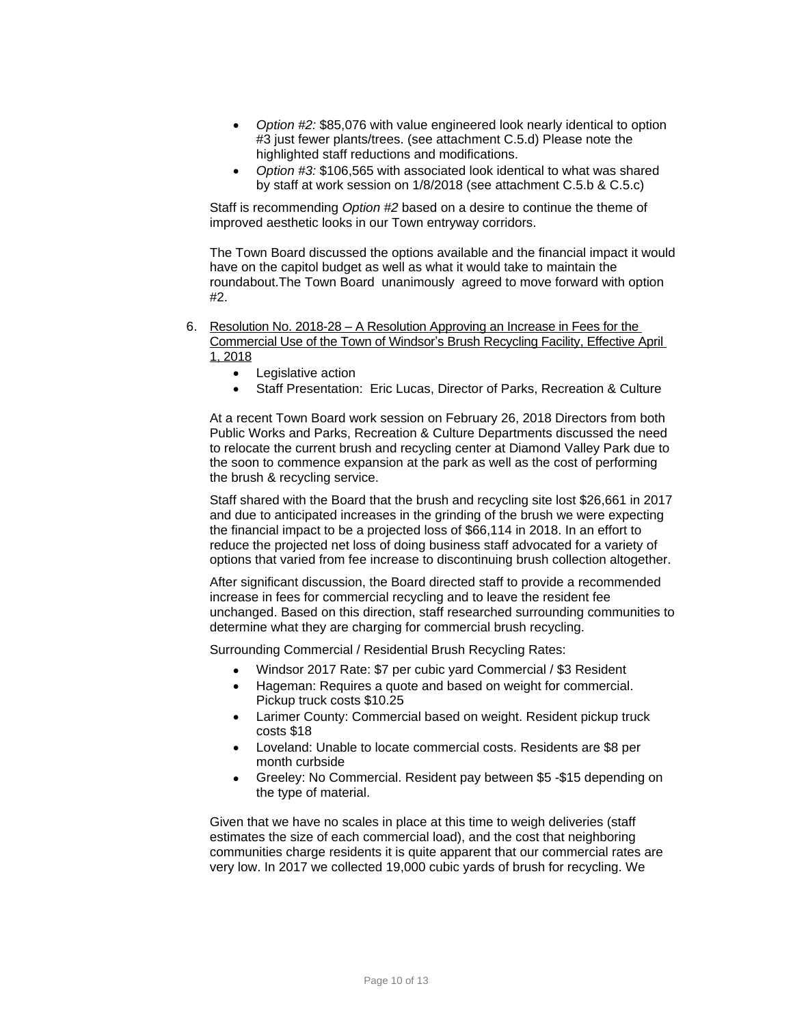- *Option #2:* \$85,076 with value engineered look nearly identical to option #3 just fewer plants/trees. (see attachment C.5.d) Please note the highlighted staff reductions and modifications.
- *Option #3:* \$106,565 with associated look identical to what was shared by staff at work session on 1/8/2018 (see attachment C.5.b & C.5.c)

Staff is recommending *Option #2* based on a desire to continue the theme of improved aesthetic looks in our Town entryway corridors.

The Town Board discussed the options available and the financial impact it would have on the capitol budget as well as what it would take to maintain the roundabout.The Town Board unanimously agreed to move forward with option #2.

- 6. Resolution No. 2018-28 A Resolution Approving an Increase in Fees for the Commercial Use of the Town of Windsor's Brush Recycling Facility, Effective April 1, 2018
	- Legislative action
	- Staff Presentation: Eric Lucas, Director of Parks, Recreation & Culture

At a recent Town Board work session on February 26, 2018 Directors from both Public Works and Parks, Recreation & Culture Departments discussed the need to relocate the current brush and recycling center at Diamond Valley Park due to the soon to commence expansion at the park as well as the cost of performing the brush & recycling service.

Staff shared with the Board that the brush and recycling site lost \$26,661 in 2017 and due to anticipated increases in the grinding of the brush we were expecting the financial impact to be a projected loss of \$66,114 in 2018. In an effort to reduce the projected net loss of doing business staff advocated for a variety of options that varied from fee increase to discontinuing brush collection altogether.

After significant discussion, the Board directed staff to provide a recommended increase in fees for commercial recycling and to leave the resident fee unchanged. Based on this direction, staff researched surrounding communities to determine what they are charging for commercial brush recycling.

Surrounding Commercial / Residential Brush Recycling Rates:

- Windsor 2017 Rate: \$7 per cubic yard Commercial / \$3 Resident
- Hageman: Requires a quote and based on weight for commercial. Pickup truck costs \$10.25
- Larimer County: Commercial based on weight. Resident pickup truck costs \$18
- Loveland: Unable to locate commercial costs. Residents are \$8 per month curbside
- Greeley: No Commercial. Resident pay between \$5 -\$15 depending on the type of material.

Given that we have no scales in place at this time to weigh deliveries (staff estimates the size of each commercial load), and the cost that neighboring communities charge residents it is quite apparent that our commercial rates are very low. In 2017 we collected 19,000 cubic yards of brush for recycling. We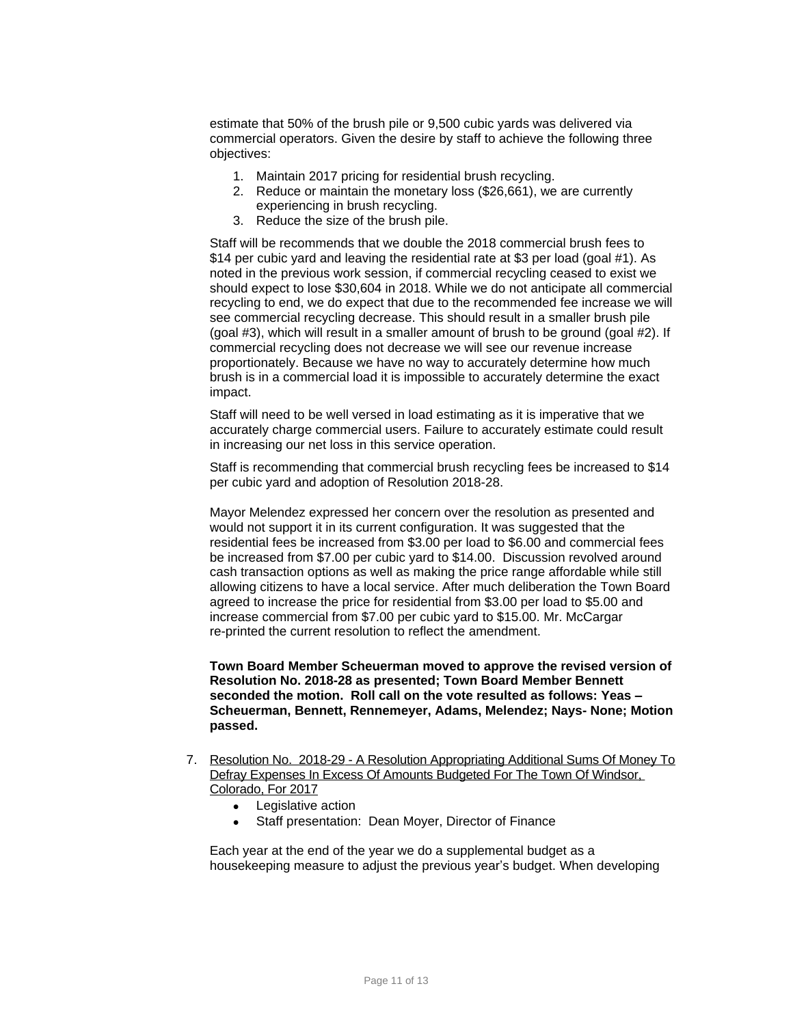estimate that 50% of the brush pile or 9,500 cubic yards was delivered via commercial operators. Given the desire by staff to achieve the following three objectives:

- 1. Maintain 2017 pricing for residential brush recycling.
- 2. Reduce or maintain the monetary loss (\$26,661), we are currently experiencing in brush recycling.
- 3. Reduce the size of the brush pile.

Staff will be recommends that we double the 2018 commercial brush fees to \$14 per cubic yard and leaving the residential rate at \$3 per load (goal #1). As noted in the previous work session, if commercial recycling ceased to exist we should expect to lose \$30,604 in 2018. While we do not anticipate all commercial recycling to end, we do expect that due to the recommended fee increase we will see commercial recycling decrease. This should result in a smaller brush pile (goal #3), which will result in a smaller amount of brush to be ground (goal #2). If commercial recycling does not decrease we will see our revenue increase proportionately. Because we have no way to accurately determine how much brush is in a commercial load it is impossible to accurately determine the exact impact.

Staff will need to be well versed in load estimating as it is imperative that we accurately charge commercial users. Failure to accurately estimate could result in increasing our net loss in this service operation.

Staff is recommending that commercial brush recycling fees be increased to \$14 per cubic yard and adoption of Resolution 2018-28.

Mayor Melendez expressed her concern over the resolution as presented and would not support it in its current configuration. It was suggested that the residential fees be increased from \$3.00 per load to \$6.00 and commercial fees be increased from \$7.00 per cubic yard to \$14.00. Discussion revolved around cash transaction options as well as making the price range affordable while still allowing citizens to have a local service. After much deliberation the Town Board agreed to increase the price for residential from \$3.00 per load to \$5.00 and increase commercial from \$7.00 per cubic yard to \$15.00. Mr. McCargar re-printed the current resolution to reflect the amendment.

**Town Board Member Scheuerman moved to approve the revised version of Resolution No. 2018-28 as presented; Town Board Member Bennett seconded the motion. Roll call on the vote resulted as follows: Yeas – Scheuerman, Bennett, Rennemeyer, Adams, Melendez; Nays- None; Motion passed.**

- 7. Resolution No. 2018-29 A Resolution Appropriating Additional Sums Of Money To Defray Expenses In Excess Of Amounts Budgeted For The Town Of Windsor, Colorado, For 2017
	- Legislative action
	- Staff presentation: Dean Moyer, Director of Finance

Each year at the end of the year we do a supplemental budget as a housekeeping measure to adjust the previous year's budget. When developing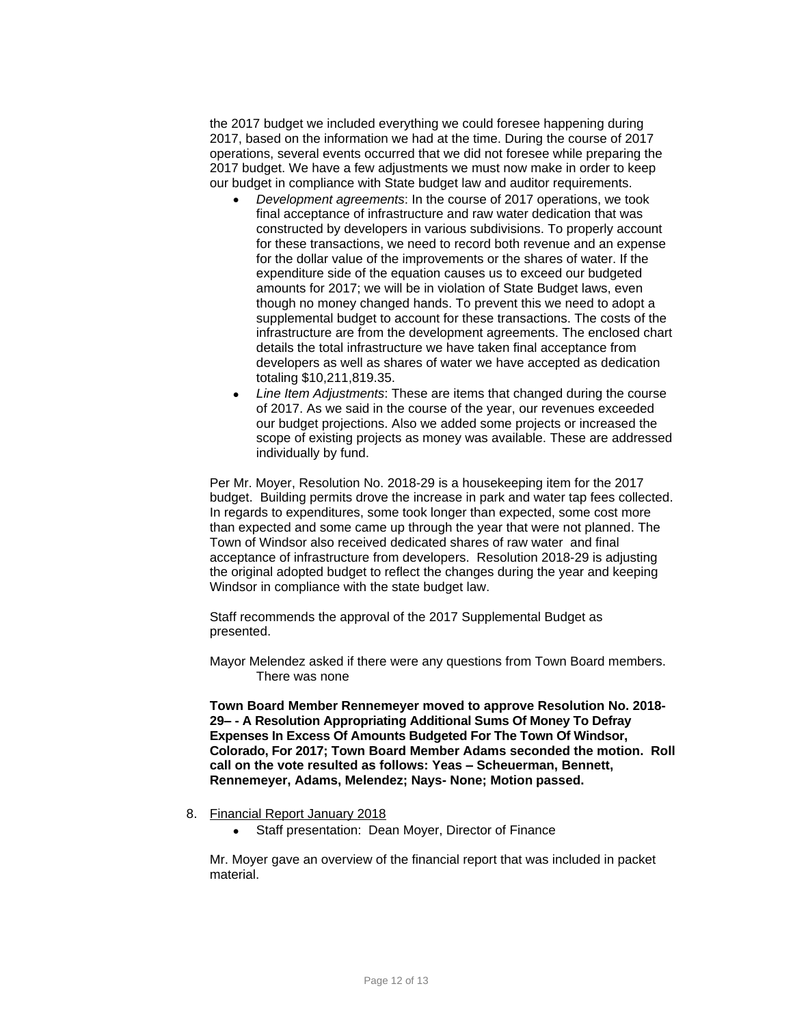the 2017 budget we included everything we could foresee happening during 2017, based on the information we had at the time. During the course of 2017 operations, several events occurred that we did not foresee while preparing the 2017 budget. We have a few adjustments we must now make in order to keep our budget in compliance with State budget law and auditor requirements.

- *Development agreements*: In the course of 2017 operations, we took final acceptance of infrastructure and raw water dedication that was constructed by developers in various subdivisions. To properly account for these transactions, we need to record both revenue and an expense for the dollar value of the improvements or the shares of water. If the expenditure side of the equation causes us to exceed our budgeted amounts for 2017; we will be in violation of State Budget laws, even though no money changed hands. To prevent this we need to adopt a supplemental budget to account for these transactions. The costs of the infrastructure are from the development agreements. The enclosed chart details the total infrastructure we have taken final acceptance from developers as well as shares of water we have accepted as dedication totaling \$10,211,819.35.
- *Line Item Adjustments*: These are items that changed during the course of 2017. As we said in the course of the year, our revenues exceeded our budget projections. Also we added some projects or increased the scope of existing projects as money was available. These are addressed individually by fund.

Per Mr. Moyer, Resolution No. 2018-29 is a housekeeping item for the 2017 budget. Building permits drove the increase in park and water tap fees collected. In regards to expenditures, some took longer than expected, some cost more than expected and some came up through the year that were not planned. The Town of Windsor also received dedicated shares of raw water and final acceptance of infrastructure from developers. Resolution 2018-29 is adjusting the original adopted budget to reflect the changes during the year and keeping Windsor in compliance with the state budget law.

Staff recommends the approval of the 2017 Supplemental Budget as presented.

Mayor Melendez asked if there were any questions from Town Board members. There was none

**Town Board Member Rennemeyer moved to approve Resolution No. 2018- 29– - A Resolution Appropriating Additional Sums Of Money To Defray Expenses In Excess Of Amounts Budgeted For The Town Of Windsor, Colorado, For 2017; Town Board Member Adams seconded the motion. Roll call on the vote resulted as follows: Yeas – Scheuerman, Bennett, Rennemeyer, Adams, Melendez; Nays- None; Motion passed.**

- 8. Financial Report January 2018
	- Staff presentation: Dean Moyer, Director of Finance

Mr. Moyer gave an overview of the financial report that was included in packet material.